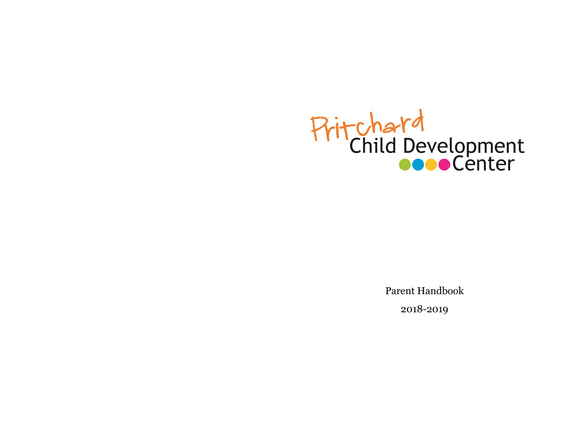

Parent Handbook 2018-2019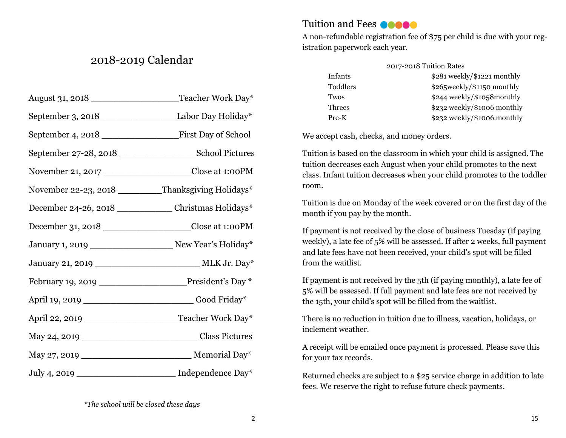# 2018-2019 Calendar

| August 31, 2018                                                | Teacher Work Day*                                              |
|----------------------------------------------------------------|----------------------------------------------------------------|
| September 3, 2018_________________________Labor Day Holiday*   |                                                                |
|                                                                |                                                                |
|                                                                |                                                                |
|                                                                | November 21, 2017 _______________________Close at 1:00PM       |
| November 22-23, 2018 ________Thanksgiving Holidays*            |                                                                |
| December 24-26, 2018 ______________ Christmas Holidays*        |                                                                |
|                                                                | December 31, 2018 ______________________Close at 1:00PM        |
| January 1, 2019 __________________________ New Year's Holiday* |                                                                |
|                                                                | January 21, 2019 ________________________________ MLK Jr. Day* |
| February 19, 2019 ________________President's Day *            |                                                                |
| April 19, 2019 ____________________________Good Friday*        |                                                                |
|                                                                |                                                                |
|                                                                |                                                                |
|                                                                |                                                                |
| July 4, 2019 _______________________ Independence Day*         |                                                                |

#### Tuition and Fees **Coooo**

A non-refundable registration fee of \$75 per child is due with your registration paperwork each year.

| 2017-2018 Tuition Rates |                                |
|-------------------------|--------------------------------|
| Infants                 | $$281$ weekly/ $$1221$ monthly |
| Toddlers                | \$265 weekly/\$1150 monthly    |
| Twos                    | $$244$ weekly/ $$1058$ monthly |
| Threes                  | \$232 weekly/\$1006 monthly    |
| Pre-K                   | \$232 weekly/\$1006 monthly    |

We accept cash, checks, and money orders.

Tuition is based on the classroom in which your child is assigned. The tuition decreases each August when your child promotes to the next class. Infant tuition decreases when your child promotes to the toddler room.

Tuition is due on Monday of the week covered or on the first day of the month if you pay by the month.

If payment is not received by the close of business Tuesday (if paying weekly), a late fee of 5% will be assessed. If after 2 weeks, full payment and late fees have not been received, your child's spot will be filled from the waitlist.

If payment is not received by the 5th (if paying monthly), a late fee of 5% will be assessed. If full payment and late fees are not received by the 15th, your child's spot will be filled from the waitlist.

There is no reduction in tuition due to illness, vacation, holidays, or inclement weather.

A receipt will be emailed once payment is processed. Please save this for your tax records.

Returned checks are subject to a \$25 service charge in addition to late fees. We reserve the right to refuse future check payments.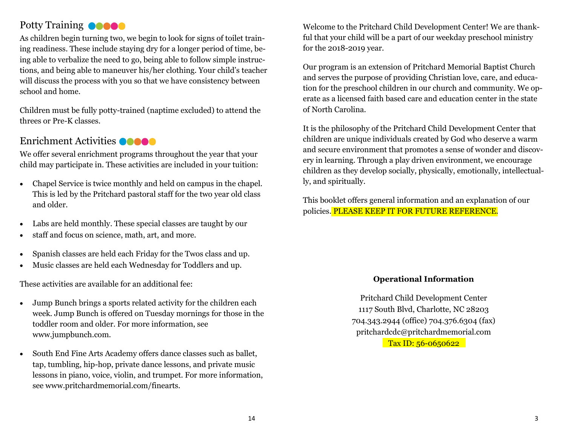# Potty Training **OCOO**

As children begin turning two, we begin to look for signs of toilet training readiness. These include staying dry for a longer period of time, being able to verbalize the need to go, being able to follow simple instructions, and being able to maneuver his/her clothing. Your child's teacher will discuss the process with you so that we have consistency between school and home.

Children must be fully potty-trained (naptime excluded) to attend the threes or Pre-K classes.

#### Enrichment Activities **OCOOO**

We offer several enrichment programs throughout the year that your child may participate in. These activities are included in your tuition:

- Chapel Service is twice monthly and held on campus in the chapel. This is led by the Pritchard pastoral staff for the two year old class and older.
- Labs are held monthly. These special classes are taught by our
- staff and focus on science, math, art, and more.
- Spanish classes are held each Friday for the Twos class and up.
- Music classes are held each Wednesday for Toddlers and up.

These activities are available for an additional fee:

- Jump Bunch brings a sports related activity for the children each week. Jump Bunch is offered on Tuesday mornings for those in the toddler room and older. For more information, see www.jumpbunch.com.
- South End Fine Arts Academy offers dance classes such as ballet, tap, tumbling, hip-hop, private dance lessons, and private music lessons in piano, voice, violin, and trumpet. For more information, see www.pritchardmemorial.com/finearts.

Welcome to the Pritchard Child Development Center! We are thankful that your child will be a part of our weekday preschool ministry for the 2018-2019 year.

Our program is an extension of Pritchard Memorial Baptist Church and serves the purpose of providing Christian love, care, and education for the preschool children in our church and community. We operate as a licensed faith based care and education center in the state of North Carolina.

It is the philosophy of the Pritchard Child Development Center that children are unique individuals created by God who deserve a warm and secure environment that promotes a sense of wonder and discovery in learning. Through a play driven environment, we encourage children as they develop socially, physically, emotionally, intellectually, and spiritually.

This booklet offers general information and an explanation of our policies. PLEASE KEEP IT FOR FUTURE REFERENCE.

#### **Operational Information**

Pritchard Child Development Center 1117 South Blvd, Charlotte, NC 28203 704.343.2944 (office) 704.376.6304 (fax) pritchardcdc@pritchardmemorial.com Tax ID: 56-0650622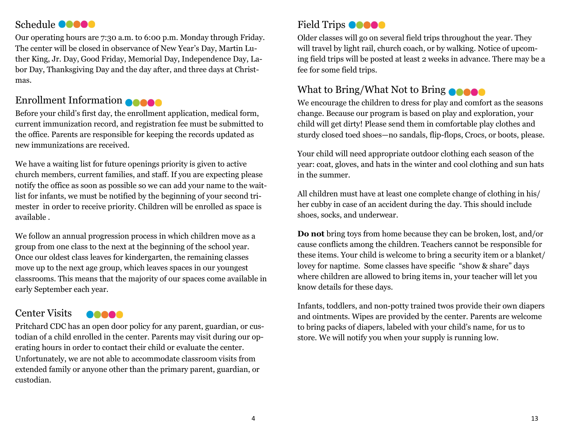## Schedule **OCOOO**

Our operating hours are 7:30 a.m. to 6:00 p.m. Monday through Friday. The center will be closed in observance of New Year's Day, Martin Luther King, Jr. Day, Good Friday, Memorial Day, Independence Day, Labor Day, Thanksgiving Day and the day after, and three days at Christmas.

# Enrollment Information

Before your child's first day, the enrollment application, medical form, current immunization record, and registration fee must be submitted to the office. Parents are responsible for keeping the records updated as new immunizations are received.

We have a waiting list for future openings priority is given to active church members, current families, and staff. If you are expecting please notify the office as soon as possible so we can add your name to the waitlist for infants, we must be notified by the beginning of your second trimester in order to receive priority. Children will be enrolled as space is available .

We follow an annual progression process in which children move as a group from one class to the next at the beginning of the school year. Once our oldest class leaves for kindergarten, the remaining classes move up to the next age group, which leaves spaces in our youngest classrooms. This means that the majority of our spaces come available in early September each year.

#### Center Visits 00000

Pritchard CDC has an open door policy for any parent, guardian, or custodian of a child enrolled in the center. Parents may visit during our operating hours in order to contact their child or evaluate the center. Unfortunately, we are not able to accommodate classroom visits from extended family or anyone other than the primary parent, guardian, or custodian.

# Field Trips  $\bullet \bullet \bullet \bullet$

Older classes will go on several field trips throughout the year. They will travel by light rail, church coach, or by walking. Notice of upcoming field trips will be posted at least 2 weeks in advance. There may be a fee for some field trips.

## What to Bring/What Not to Bring

We encourage the children to dress for play and comfort as the seasons change. Because our program is based on play and exploration, your child will get dirty! Please send them in comfortable play clothes and sturdy closed toed shoes—no sandals, flip-flops, Crocs, or boots, please.

Your child will need appropriate outdoor clothing each season of the year: coat, gloves, and hats in the winter and cool clothing and sun hats in the summer.

All children must have at least one complete change of clothing in his/ her cubby in case of an accident during the day. This should include shoes, socks, and underwear.

**Do not** bring toys from home because they can be broken, lost, and/or cause conflicts among the children. Teachers cannot be responsible for these items. Your child is welcome to bring a security item or a blanket/ lovey for naptime. Some classes have specific "show & share" days where children are allowed to bring items in, your teacher will let you know details for these days.

Infants, toddlers, and non-potty trained twos provide their own diapers and ointments. Wipes are provided by the center. Parents are welcome to bring packs of diapers, labeled with your child's name, for us to store. We will notify you when your supply is running low.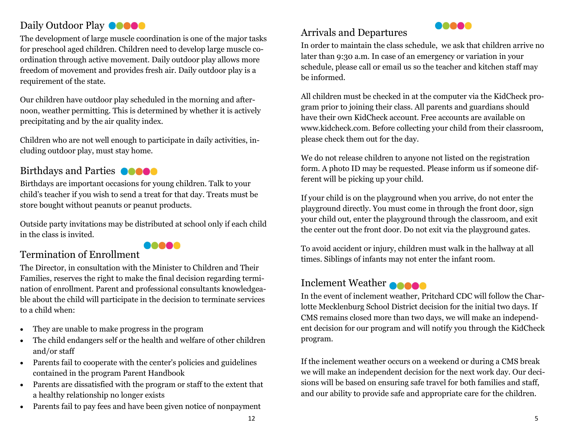# Daily Outdoor Play **COOOO**

The development of large muscle coordination is one of the major tasks for preschool aged children. Children need to develop large muscle coordination through active movement. Daily outdoor play allows more freedom of movement and provides fresh air. Daily outdoor play is a requirement of the state.

Our children have outdoor play scheduled in the morning and afternoon, weather permitting. This is determined by whether it is actively precipitating and by the air quality index.

Children who are not well enough to participate in daily activities, including outdoor play, must stay home.

#### Birthdays and Parties **OCCO**

Birthdays are important occasions for young children. Talk to your child's teacher if you wish to send a treat for that day. Treats must be store bought without peanuts or peanut products.

Outside party invitations may be distributed at school only if each child in the class is invited.

**00000** 

# Termination of Enrollment

The Director, in consultation with the Minister to Children and Their Families, reserves the right to make the final decision regarding termination of enrollment. Parent and professional consultants knowledgeable about the child will participate in the decision to terminate services to a child when:

- They are unable to make progress in the program
- The child endangers self or the health and welfare of other children and/or staff
- Parents fail to cooperate with the center's policies and guidelines contained in the program Parent Handbook
- Parents are dissatisfied with the program or staff to the extent that a healthy relationship no longer exists
- Parents fail to pay fees and have been given notice of nonpayment

# Arrivals and Departures



In order to maintain the class schedule, we ask that children arrive no later than 9:30 a.m. In case of an emergency or variation in your schedule, please call or email us so the teacher and kitchen staff may be informed.

All children must be checked in at the computer via the KidCheck program prior to joining their class. All parents and guardians should have their own KidCheck account. Free accounts are available on www.kidcheck.com. Before collecting your child from their classroom, please check them out for the day.

We do not release children to anyone not listed on the registration form. A photo ID may be requested. Please inform us if someone different will be picking up your child.

If your child is on the playground when you arrive, do not enter the playground directly. You must come in through the front door, sign your child out, enter the playground through the classroom, and exit the center out the front door. Do not exit via the playground gates.

To avoid accident or injury, children must walk in the hallway at all times. Siblings of infants may not enter the infant room.

#### Inclement Weather

In the event of inclement weather, Pritchard CDC will follow the Charlotte Mecklenburg School District decision for the initial two days. If CMS remains closed more than two days, we will make an independent decision for our program and will notify you through the KidCheck program.

If the inclement weather occurs on a weekend or during a CMS break we will make an independent decision for the next work day. Our decisions will be based on ensuring safe travel for both families and staff, and our ability to provide safe and appropriate care for the children.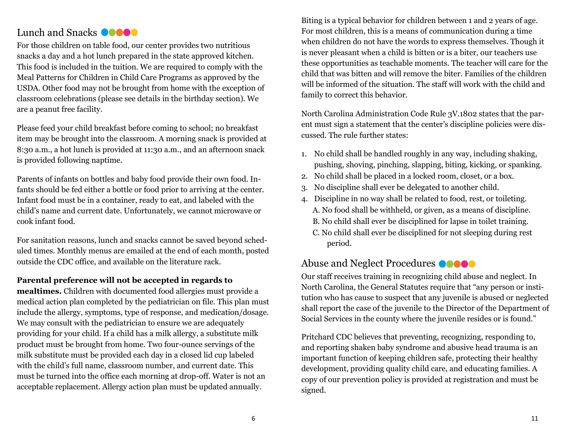#### Lunch and Snacks **Coooo**

For those children on table food, our center provides two nutritious snacks a day and a hot lunch prepared in the state approved kitchen. This food is included in the tuition. We are required to comply with the Meal Patterns for Children in Child Care Programs as approved by the USDA. Other food may not be brought from home with the exception of classroom celebrations (please see details in the birthday section). We are a peanut free facility.

Please feed your child breakfast before coming to school; no breakfast item may be brought into the classroom. A morning snack is provided at 8:30 a.m., a hot lunch is provided at 11:30 a.m., and an afternoon snack is provided following naptime.

Parents of infants on bottles and baby food provide their own food. Infants should be fed either a bottle or food prior to arriving at the center. Infant food must be in a container, ready to eat, and labeled with the child's name and current date. Unfortunately, we cannot microwave or cook infant food.

For sanitation reasons, lunch and snacks cannot be saved beyond scheduled times. Monthly menus are emailed at the end of each month, posted outside the CDC office, and available on the literature rack.

#### **Parental preference will not be accepted in regards to**

**mealtimes.** Children with documented food allergies must provide a medical action plan completed by the pediatrician on file. This plan must include the allergy, symptoms, type of response, and medication/dosage. We may consult with the pediatrician to ensure we are adequately providing for your child. If a child has a milk allergy, a substitute milk product must be brought from home. Two four-ounce servings of the milk substitute must be provided each day in a closed lid cup labeled with the child's full name, classroom number, and current date. This must be turned into the office each morning at drop-off. Water is not an acceptable replacement. Allergy action plan must be updated annually.

Biting is a typical behavior for children between 1 and 2 years of age. For most children, this is a means of communication during a time when children do not have the words to express themselves. Though it is never pleasant when a child is bitten or is a biter, our teachers use these opportunities as teachable moments. The teacher will care for the child that was bitten and will remove the biter. Families of the children will be informed of the situation. The staff will work with the child and family to correct this behavior.

North Carolina Administration Code Rule 3V.1802 states that the parent must sign a statement that the center's discipline policies were discussed. The rule further states:

- 1. No child shall be handled roughly in any way, including shaking, pushing, shoving, pinching, slapping, biting, kicking, or spanking.
- 2. No child shall be placed in a locked room, closet, or a box.
- 3. No discipline shall ever be delegated to another child.
- 4. Discipline in no way shall be related to food, rest, or toileting. A. No food shall be withheld, or given, as a means of discipline. B. No child shall ever be disciplined for lapse in toilet training.
	- C. No child shall ever be disciplined for not sleeping during rest period.

#### Abuse and Neglect Procedures **OCOO**

Our staff receives training in recognizing child abuse and neglect. In North Carolina, the General Statutes require that "any person or institution who has cause to suspect that any juvenile is abused or neglected shall report the case of the juvenile to the Director of the Department of Social Services in the county where the juvenile resides or is found."

Pritchard CDC believes that preventing, recognizing, responding to, and reporting shaken baby syndrome and abusive head trauma is an important function of keeping children safe, protecting their healthy development, providing quality child care, and educating families. A copy of our prevention policy is provided at registration and must be signed.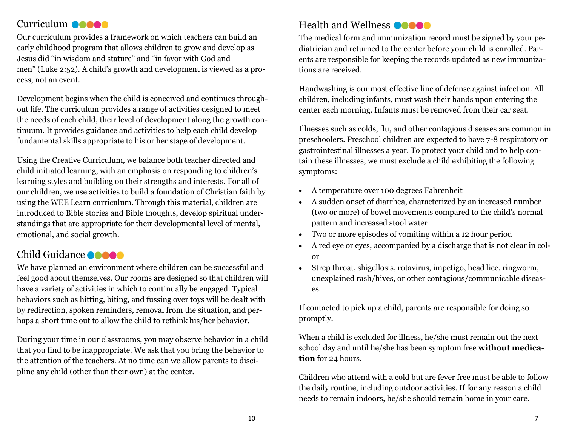## Curriculum **@@@@@**

Our curriculum provides a framework on which teachers can build an early childhood program that allows children to grow and develop as Jesus did "in wisdom and stature" and "in favor with God and men" (Luke 2:52). A child's growth and development is viewed as a process, not an event.

Development begins when the child is conceived and continues throughout life. The curriculum provides a range of activities designed to meet the needs of each child, their level of development along the growth continuum. It provides guidance and activities to help each child develop fundamental skills appropriate to his or her stage of development.

Using the Creative Curriculum, we balance both teacher directed and child initiated learning, with an emphasis on responding to children's learning styles and building on their strengths and interests. For all of our children, we use activities to build a foundation of Christian faith by using the WEE Learn curriculum. Through this material, children are introduced to Bible stories and Bible thoughts, develop spiritual understandings that are appropriate for their developmental level of mental, emotional, and social growth.

# Child Guidance **OCOO**

We have planned an environment where children can be successful and feel good about themselves. Our rooms are designed so that children will have a variety of activities in which to continually be engaged. Typical behaviors such as hitting, biting, and fussing over toys will be dealt with by redirection, spoken reminders, removal from the situation, and perhaps a short time out to allow the child to rethink his/her behavior.

During your time in our classrooms, you may observe behavior in a child that you find to be inappropriate. We ask that you bring the behavior to the attention of the teachers. At no time can we allow parents to discipline any child (other than their own) at the center.

# Health and Wellness **OCCO**

The medical form and immunization record must be signed by your pediatrician and returned to the center before your child is enrolled. Parents are responsible for keeping the records updated as new immunizations are received.

Handwashing is our most effective line of defense against infection. All children, including infants, must wash their hands upon entering the center each morning. Infants must be removed from their car seat.

Illnesses such as colds, flu, and other contagious diseases are common in preschoolers. Preschool children are expected to have 7-8 respiratory or gastrointestinal illnesses a year. To protect your child and to help contain these illnesses, we must exclude a child exhibiting the following symptoms:

- A temperature over 100 degrees Fahrenheit
- A sudden onset of diarrhea, characterized by an increased number (two or more) of bowel movements compared to the child's normal pattern and increased stool water
- Two or more episodes of vomiting within a 12 hour period
- A red eye or eyes, accompanied by a discharge that is not clear in color
- Strep throat, shigellosis, rotavirus, impetigo, head lice, ringworm, unexplained rash/hives, or other contagious/communicable diseases.

If contacted to pick up a child, parents are responsible for doing so promptly.

When a child is excluded for illness, he/she must remain out the next school day and until he/she has been symptom free **without medication** for 24 hours.

Children who attend with a cold but are fever free must be able to follow the daily routine, including outdoor activities. If for any reason a child needs to remain indoors, he/she should remain home in your care.